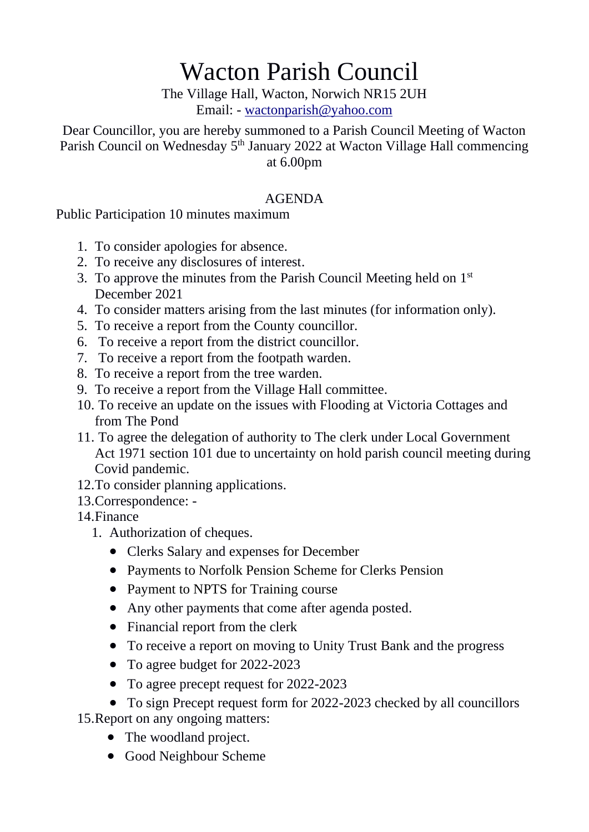## Wacton Parish Council

The Village Hall, Wacton, Norwich NR15 2UH Email: - [wactonparish@yahoo.com](mailto:wactonparish@yahoo.com)

Dear Councillor, you are hereby summoned to a Parish Council Meeting of Wacton Parish Council on Wednesday 5<sup>th</sup> January 2022 at Wacton Village Hall commencing at 6.00pm

## AGENDA

Public Participation 10 minutes maximum

- 1. To consider apologies for absence.
- 2. To receive any disclosures of interest.
- 3. To approve the minutes from the Parish Council Meeting held on 1<sup>st</sup> December 2021
- 4. To consider matters arising from the last minutes (for information only).
- 5. To receive a report from the County councillor.
- 6. To receive a report from the district councillor.
- 7. To receive a report from the footpath warden.
- 8. To receive a report from the tree warden.
- 9. To receive a report from the Village Hall committee.
- 10. To receive an update on the issues with Flooding at Victoria Cottages and from The Pond
- 11. To agree the delegation of authority to The clerk under Local Government Act 1971 section 101 due to uncertainty on hold parish council meeting during Covid pandemic.
- 12.To consider planning applications.
- 13.Correspondence: -
- 14.Finance
	- 1. Authorization of cheques.
		- Clerks Salary and expenses for December
		- Payments to Norfolk Pension Scheme for Clerks Pension
		- Payment to NPTS for Training course
		- Any other payments that come after agenda posted.
		- Financial report from the clerk
		- To receive a report on moving to Unity Trust Bank and the progress
		- To agree budget for 2022-2023
		- To agree precept request for 2022-2023
	- To sign Precept request form for 2022-2023 checked by all councillors

15.Report on any ongoing matters:

- The woodland project.
- Good Neighbour Scheme